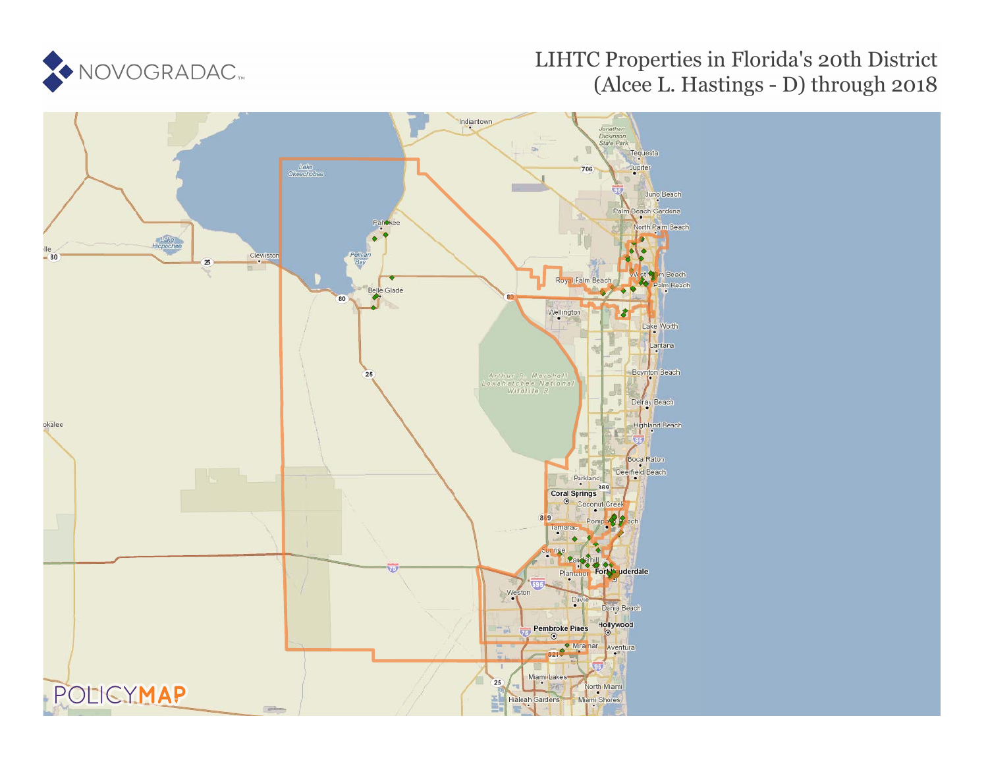

# LIHTC Properties in Florida's 20th District (Alcee L. Hastings - D) through 2018

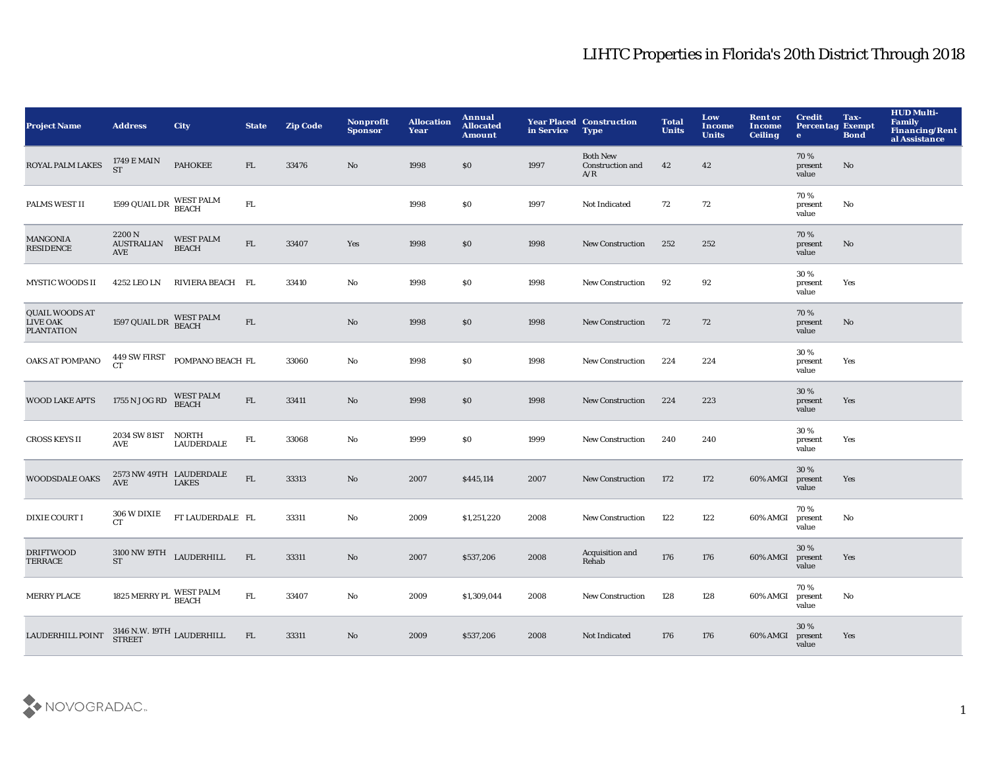| <b>Project Name</b>                                           | <b>Address</b>                                             | City                                    | <b>State</b> | <b>Zip Code</b> | Nonprofit<br><b>Sponsor</b> | <b>Allocation</b><br>Year | Annual<br><b>Allocated</b><br><b>Amount</b> | in Service | <b>Year Placed Construction</b><br><b>Type</b> | <b>Total</b><br><b>Units</b> | Low<br><b>Income</b><br><b>Units</b> | <b>Rent or</b><br>Income<br><b>Ceiling</b> | <b>Credit</b><br><b>Percentag Exempt</b><br>$\bullet$ | Tax-<br><b>Bond</b> | <b>HUD Multi-</b><br><b>Family</b><br><b>Financing/Rent</b><br>al Assistance |
|---------------------------------------------------------------|------------------------------------------------------------|-----------------------------------------|--------------|-----------------|-----------------------------|---------------------------|---------------------------------------------|------------|------------------------------------------------|------------------------------|--------------------------------------|--------------------------------------------|-------------------------------------------------------|---------------------|------------------------------------------------------------------------------|
| ROYAL PALM LAKES                                              | 1749 E MAIN<br><b>ST</b>                                   | <b>PAHOKEE</b>                          | FL.          | 33476           | No                          | 1998                      | \$0                                         | 1997       | <b>Both New</b><br>Construction and<br>A/R     | 42                           | 42                                   |                                            | 70%<br>present<br>value                               | No                  |                                                                              |
| PALMS WEST II                                                 | 1599 QUAIL DR $\rm{WEST~PALM}\rm{BEACH}$                   |                                         | ${\rm FL}$   |                 |                             | 1998                      | \$0                                         | 1997       | Not Indicated                                  | 72                           | 72                                   |                                            | 70%<br>present<br>value                               | No                  |                                                                              |
| MANGONIA<br><b>RESIDENCE</b>                                  | 2200 N<br><b>AUSTRALIAN</b><br>AVE                         | <b>WEST PALM</b><br><b>BEACH</b>        | ${\rm FL}$   | 33407           | Yes                         | 1998                      | \$0                                         | 1998       | <b>New Construction</b>                        | 252                          | 252                                  |                                            | 70%<br>present<br>value                               | $\mathbf {No}$      |                                                                              |
| <b>MYSTIC WOODS II</b>                                        | 4252 LEO LN                                                | RIVIERA BEACH FL                        |              | 33410           | No                          | 1998                      | \$0                                         | 1998       | New Construction                               | 92                           | 92                                   |                                            | 30%<br>present<br>value                               | Yes                 |                                                                              |
| <b>QUAIL WOODS AT</b><br><b>LIVE OAK</b><br><b>PLANTATION</b> | 1597 QUAIL DR $$\tt{NEST~PALM}\atop\tt{BEACH}}$            |                                         | ${\rm FL}$   |                 | $\rm\thinspace No$          | 1998                      | \$0                                         | 1998       | New Construction                               | 72                           | 72                                   |                                            | 70%<br>present<br>value                               | No                  |                                                                              |
| OAKS AT POMPANO                                               | 449 SW FIRST<br>CT <sup>-</sup>                            | POMPANO BEACH FL                        |              | 33060           | $\mathbf{No}$               | 1998                      | \$0                                         | 1998       | <b>New Construction</b>                        | 224                          | 224                                  |                                            | 30%<br>present<br>value                               | Yes                 |                                                                              |
| <b>WOOD LAKE APTS</b>                                         | 1755 N JOG RD                                              | <b>WEST PALM</b><br><b>BEACH</b>        | ${\rm FL}$   | 33411           | $\mathbf {No}$              | 1998                      | \$0                                         | 1998       | New Construction                               | 224                          | 223                                  |                                            | 30 %<br>present<br>value                              | Yes                 |                                                                              |
| <b>CROSS KEYS II</b>                                          | 2034 SW 81ST<br>AVE                                        | NORTH<br><b>LAUDERDALE</b>              | ${\rm FL}$   | 33068           | No                          | 1999                      | \$0                                         | 1999       | <b>New Construction</b>                        | 240                          | 240                                  |                                            | 30%<br>present<br>value                               | Yes                 |                                                                              |
| <b>WOODSDALE OAKS</b>                                         | <b>AVE</b>                                                 | 2573 NW 49TH LAUDERDALE<br><b>LAKES</b> | ${\rm FL}$   | 33313           | $\mathbf{No}$               | 2007                      | \$445,114                                   | 2007       | <b>New Construction</b>                        | 172                          | 172                                  | 60% AMGI                                   | 30%<br>present<br>value                               | Yes                 |                                                                              |
| <b>DIXIE COURT I</b>                                          | 306 W DIXIE<br>CT <sub>1</sub>                             | FT LAUDERDALE FL                        |              | 33311           | No                          | 2009                      | \$1,251,220                                 | 2008       | <b>New Construction</b>                        | 122                          | 122                                  | 60% AMGI                                   | 70%<br>present<br>value                               | No                  |                                                                              |
| <b>DRIFTWOOD</b><br>TERRACE                                   | $3100\,\mathrm{NW}\,19\mathrm{TH}$ LAUDERHILL<br><b>ST</b> |                                         | FL           | 33311           | No                          | 2007                      | \$537,206                                   | 2008       | Acquisition and<br>Rehab                       | 176                          | 176                                  | 60% AMGI                                   | 30 %<br>present<br>value                              | Yes                 |                                                                              |
| <b>MERRY PLACE</b>                                            | 1825 MERRY PL WEST PALM                                    |                                         | ${\rm FL}$   | 33407           | No                          | 2009                      | \$1,309,044                                 | 2008       | <b>New Construction</b>                        | 128                          | 128                                  | 60% AMGI                                   | 70%<br>present<br>value                               | No                  |                                                                              |
| LAUDERHILL POINT                                              | $3146$ N.W. $19\mathrm{TH}$ <code>LAUDERHILL</code> STREET |                                         | FL           | 33311           | $\mathbf{No}$               | 2009                      | \$537,206                                   | 2008       | Not Indicated                                  | 176                          | 176                                  | 60% AMGI                                   | 30 %<br>present<br>value                              | Yes                 |                                                                              |

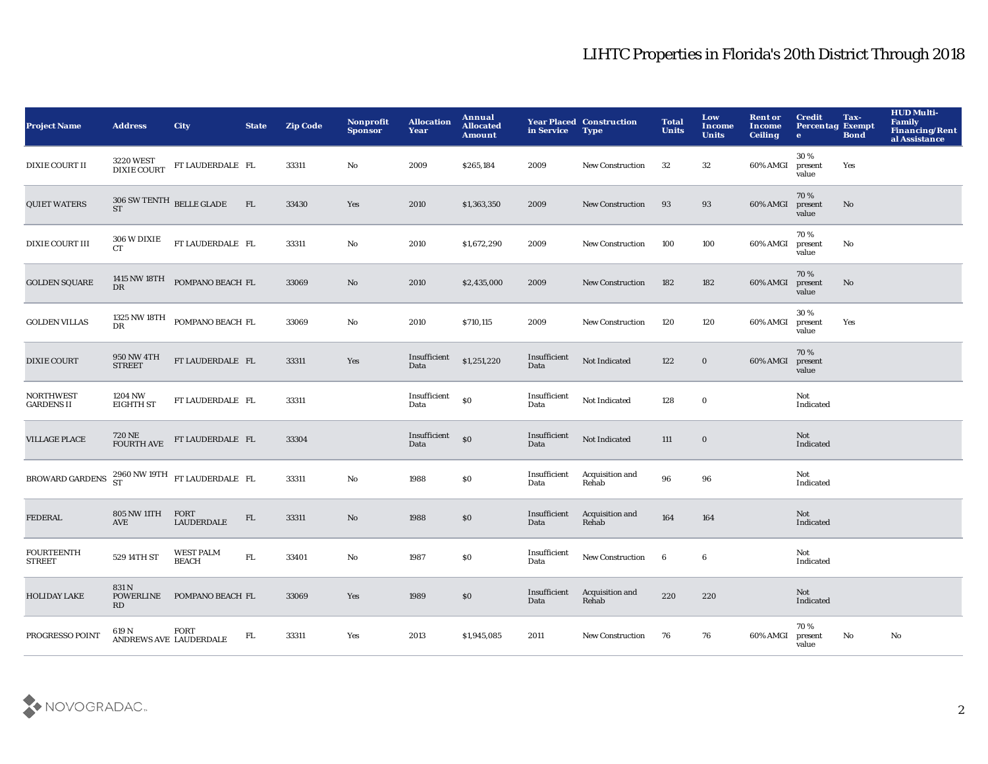| <b>Project Name</b>                                                | <b>Address</b>                     | <b>City</b>                                | <b>State</b> | <b>Zip Code</b> | Nonprofit<br><b>Sponsor</b> | <b>Allocation</b><br>Year | Annual<br><b>Allocated</b><br><b>Amount</b> | in Service           | <b>Year Placed Construction</b><br><b>Type</b> | <b>Total</b><br><b>Units</b> | Low<br><b>Income</b><br><b>Units</b> | <b>Rent or</b><br>Income<br><b>Ceiling</b> | <b>Credit</b><br><b>Percentag Exempt</b><br>$\bullet$ | Tax-<br><b>Bond</b>    | <b>HUD Multi-</b><br><b>Family</b><br><b>Financing/Rent</b><br>al Assistance |
|--------------------------------------------------------------------|------------------------------------|--------------------------------------------|--------------|-----------------|-----------------------------|---------------------------|---------------------------------------------|----------------------|------------------------------------------------|------------------------------|--------------------------------------|--------------------------------------------|-------------------------------------------------------|------------------------|------------------------------------------------------------------------------|
| <b>DIXIE COURT II</b>                                              | 3220 WEST<br>DIXIE COURT           | FT LAUDERDALE FL                           |              | 33311           | No                          | 2009                      | \$265,184                                   | 2009                 | <b>New Construction</b>                        | 32                           | 32                                   | 60% AMGI                                   | 30%<br>present<br>value                               | Yes                    |                                                                              |
| <b>QUIET WATERS</b>                                                | $306$ SW TENTH $\,$ BELLE GLADE ST |                                            | ${\rm FL}$   | 33430           | Yes                         | 2010                      | \$1,363,350                                 | 2009                 | New Construction                               | 93                           | 93                                   | 60% AMGI                                   | 70%<br>present<br>value                               | $\mathbf{N}\mathbf{o}$ |                                                                              |
| <b>DIXIE COURT III</b>                                             | 306 W DIXIE<br>CT.                 | FT LAUDERDALE FL                           |              | 33311           | $\mathbf {No}$              | 2010                      | \$1,672,290                                 | 2009                 | <b>New Construction</b>                        | 100                          | 100                                  | 60% AMGI                                   | 70%<br>present<br>value                               | No                     |                                                                              |
| <b>GOLDEN SQUARE</b>                                               | <b>DR</b>                          | 1415 NW 18TH POMPANO BEACH FL              |              | 33069           | No                          | 2010                      | \$2,435,000                                 | 2009                 | New Construction                               | 182                          | 182                                  | 60% AMGI                                   | 70%<br>present<br>value                               | $\mathbf{No}$          |                                                                              |
| <b>GOLDEN VILLAS</b>                                               | DR                                 | $1325$ NW $18\mathrm{TH}$ POMPANO BEACH FL |              | 33069           | No                          | 2010                      | \$710,115                                   | 2009                 | <b>New Construction</b>                        | 120                          | 120                                  | 60% AMGI                                   | 30%<br>present<br>value                               | Yes                    |                                                                              |
| <b>DIXIE COURT</b>                                                 | <b>950 NW 4TH</b><br><b>STREET</b> | FT LAUDERDALE FL                           |              | 33311           | Yes                         | Insufficient<br>Data      | \$1,251,220                                 | Insufficient<br>Data | Not Indicated                                  | 122                          | $\mathbf 0$                          | 60% AMGI                                   | 70%<br>present<br>value                               |                        |                                                                              |
| <b>NORTHWEST</b><br><b>GARDENS II</b>                              | 1204 NW<br><b>EIGHTH ST</b>        | FT LAUDERDALE FL                           |              | 33311           |                             | Insufficient<br>Data      | $\mathbf{S}$                                | Insufficient<br>Data | Not Indicated                                  | 128                          | $\mathbf 0$                          |                                            | Not<br>Indicated                                      |                        |                                                                              |
| <b>VILLAGE PLACE</b>                                               | 720 NE<br>FOURTH AVE               | FT LAUDERDALE FL                           |              | 33304           |                             | Insufficient<br>Data      | $\mathbf{S}$                                | Insufficient<br>Data | Not Indicated                                  | 111                          | $\mathbf 0$                          |                                            | Not<br>Indicated                                      |                        |                                                                              |
| BROWARD GARDENS $^{2960 \text{ NW }19 \text{TH}}$ FT LAUDERDALE FL |                                    |                                            |              | 33311           | $\mathbf {No}$              | 1988                      | \$0                                         | Insufficient<br>Data | Acquisition and<br>Rehab                       | 96                           | 96                                   |                                            | Not<br>Indicated                                      |                        |                                                                              |
| <b>FEDERAL</b>                                                     | <b>805 NW 11TH</b><br><b>AVE</b>   | FORT<br><b>LAUDERDALE</b>                  | ${\rm FL}$   | 33311           | $\rm\thinspace No$          | 1988                      | $\$0$                                       | Insufficient<br>Data | Acquisition and<br>Rehab                       | 164                          | 164                                  |                                            | Not<br>Indicated                                      |                        |                                                                              |
| <b>FOURTEENTH</b><br><b>STREET</b>                                 | 529 14TH ST                        | <b>WEST PALM</b><br><b>BEACH</b>           | ${\rm FL}$   | 33401           | No                          | 1987                      | \$0                                         | Insufficient<br>Data | New Construction                               | $6\phantom{.0}$              | $6\phantom{.0}$                      |                                            | Not<br>Indicated                                      |                        |                                                                              |
| <b>HOLIDAY LAKE</b>                                                | 831 N<br><b>POWERLINE</b><br>RD    | POMPANO BEACH FL                           |              | 33069           | Yes                         | 1989                      | \$0                                         | Insufficient<br>Data | Acquisition and<br>Rehab                       | 220                          | 220                                  |                                            | Not<br>Indicated                                      |                        |                                                                              |
| PROGRESSO POINT                                                    | 619 N                              | FORT<br>ANDREWS AVE LAUDERDALE             | FL.          | 33311           | Yes                         | 2013                      | \$1,945,085                                 | 2011                 | <b>New Construction</b>                        | 76                           | 76                                   | 60% AMGI                                   | 70%<br>present<br>value                               | No                     | No                                                                           |

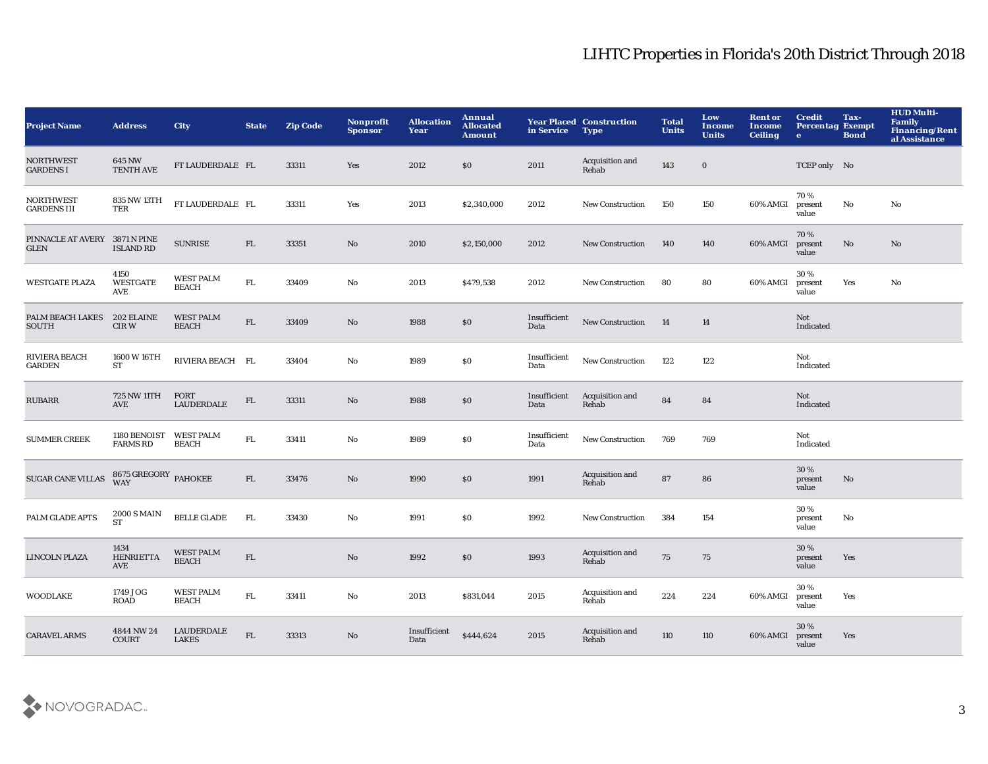| <b>Project Name</b>                          | <b>Address</b>                         | <b>City</b>                       | <b>State</b> | <b>Zip Code</b> | Nonprofit<br><b>Sponsor</b> | <b>Allocation</b><br>Year | Annual<br><b>Allocated</b><br><b>Amount</b> | in Service           | <b>Year Placed Construction</b><br><b>Type</b> | <b>Total</b><br><b>Units</b> | Low<br><b>Income</b><br><b>Units</b> | <b>Rent or</b><br><b>Income</b><br><b>Ceiling</b> | <b>Credit</b><br><b>Percentag Exempt</b><br>$\mathbf{e}$ | Tax-<br><b>Bond</b>    | <b>HUD Multi-</b><br>Family<br>Financing/Rent<br>al Assistance |
|----------------------------------------------|----------------------------------------|-----------------------------------|--------------|-----------------|-----------------------------|---------------------------|---------------------------------------------|----------------------|------------------------------------------------|------------------------------|--------------------------------------|---------------------------------------------------|----------------------------------------------------------|------------------------|----------------------------------------------------------------|
| <b>NORTHWEST</b><br><b>GARDENS I</b>         | 645 NW<br><b>TENTH AVE</b>             | FT LAUDERDALE FL                  |              | 33311           | Yes                         | 2012                      | \$0                                         | 2011                 | Acquisition and<br>Rehab                       | 143                          | $\bf{0}$                             |                                                   | TCEP only No                                             |                        |                                                                |
| <b>NORTHWEST</b><br><b>GARDENS III</b>       | 835 NW 13TH<br>TER                     | FT LAUDERDALE FL                  |              | 33311           | Yes                         | 2013                      | \$2,340,000                                 | 2012                 | <b>New Construction</b>                        | 150                          | 150                                  | 60% AMGI                                          | 70%<br>present<br>value                                  | No                     | No                                                             |
| PINNACLE AT AVERY 3871 N PINE<br><b>GLEN</b> | <b>ISLAND RD</b>                       | <b>SUNRISE</b>                    | FL           | 33351           | No                          | 2010                      | \$2,150,000                                 | 2012                 | <b>New Construction</b>                        | 140                          | 140                                  | 60% AMGI                                          | 70%<br>present<br>value                                  | $\mathbf{N}\mathbf{o}$ | No                                                             |
| <b>WESTGATE PLAZA</b>                        | 4150<br><b>WESTGATE</b><br>AVE         | <b>WEST PALM</b><br><b>BEACH</b>  | ${\rm FL}$   | 33409           | No                          | 2013                      | \$479,538                                   | 2012                 | <b>New Construction</b>                        | 80                           | 80                                   | 60% AMGI                                          | 30%<br>present<br>value                                  | Yes                    | No                                                             |
| PALM BEACH LAKES<br>SOUTH                    | 202 ELAINE<br>CIR W                    | <b>WEST PALM</b><br><b>BEACH</b>  | ${\rm FL}$   | 33409           | $\mathbf{No}$               | 1988                      | $\$0$                                       | Insufficient<br>Data | New Construction                               | 14                           | 14                                   |                                                   | Not<br>Indicated                                         |                        |                                                                |
| <b>RIVIERA BEACH</b><br><b>GARDEN</b>        | 1600 W 16TH<br>ST                      | RIVIERA BEACH FL                  |              | 33404           | $\mathbf {No}$              | 1989                      | \$0                                         | Insufficient<br>Data | New Construction                               | 122                          | 122                                  |                                                   | Not<br>Indicated                                         |                        |                                                                |
| <b>RUBARR</b>                                | 725 NW 11TH<br>AVE                     | FORT<br><b>LAUDERDALE</b>         | ${\rm FL}$   | 33311           | No                          | 1988                      | $\$0$                                       | Insufficient<br>Data | Acquisition and<br>Rehab                       | 84                           | 84                                   |                                                   | <b>Not</b><br>Indicated                                  |                        |                                                                |
| <b>SUMMER CREEK</b>                          | 1180 BENOIST<br><b>FARMS RD</b>        | <b>WEST PALM</b><br><b>BEACH</b>  | ${\rm FL}$   | 33411           | No                          | 1989                      | $\$0$                                       | Insufficient<br>Data | New Construction                               | 769                          | 769                                  |                                                   | Not<br>Indicated                                         |                        |                                                                |
| <b>SUGAR CANE VILLAS</b>                     | 8675 GREGORY PAHOKEE<br>WAY            |                                   | ${\rm FL}$   | 33476           | No                          | 1990                      | \$0                                         | 1991                 | Acquisition and<br>Rehab                       | ${\bf 87}$                   | 86                                   |                                                   | 30%<br>present<br>value                                  | No                     |                                                                |
| PALM GLADE APTS                              | <b>2000 S MAIN</b><br><b>ST</b>        | <b>BELLE GLADE</b>                | FL           | 33430           | No                          | 1991                      | <b>SO</b>                                   | 1992                 | New Construction                               | 384                          | 154                                  |                                                   | 30 %<br>present<br>value                                 | No                     |                                                                |
| LINCOLN PLAZA                                | 1434<br><b>HENRIETTA</b><br><b>AVE</b> | WEST PALM<br><b>BEACH</b>         | ${\rm FL}$   |                 | No                          | 1992                      | \$0                                         | 1993                 | Acquisition and<br>Rehab                       | 75                           | 75                                   |                                                   | 30%<br>present<br>value                                  | Yes                    |                                                                |
| WOODLAKE                                     | 1749 JOG<br><b>ROAD</b>                | <b>WEST PALM</b><br><b>BEACH</b>  | FL           | 33411           | No                          | 2013                      | \$831,044                                   | 2015                 | Acquisition and<br>Rehab                       | 224                          | 224                                  | 60% AMGI                                          | 30 %<br>present<br>value                                 | Yes                    |                                                                |
| <b>CARAVEL ARMS</b>                          | 4844 NW 24<br><b>COURT</b>             | <b>LAUDERDALE</b><br><b>LAKES</b> | FL           | 33313           | $\mathbf{No}$               | Insufficient<br>Data      | \$444,624                                   | 2015                 | Acquisition and<br>Rehab                       | 110                          | 110                                  | 60% AMGI                                          | 30%<br>present<br>value                                  | Yes                    |                                                                |

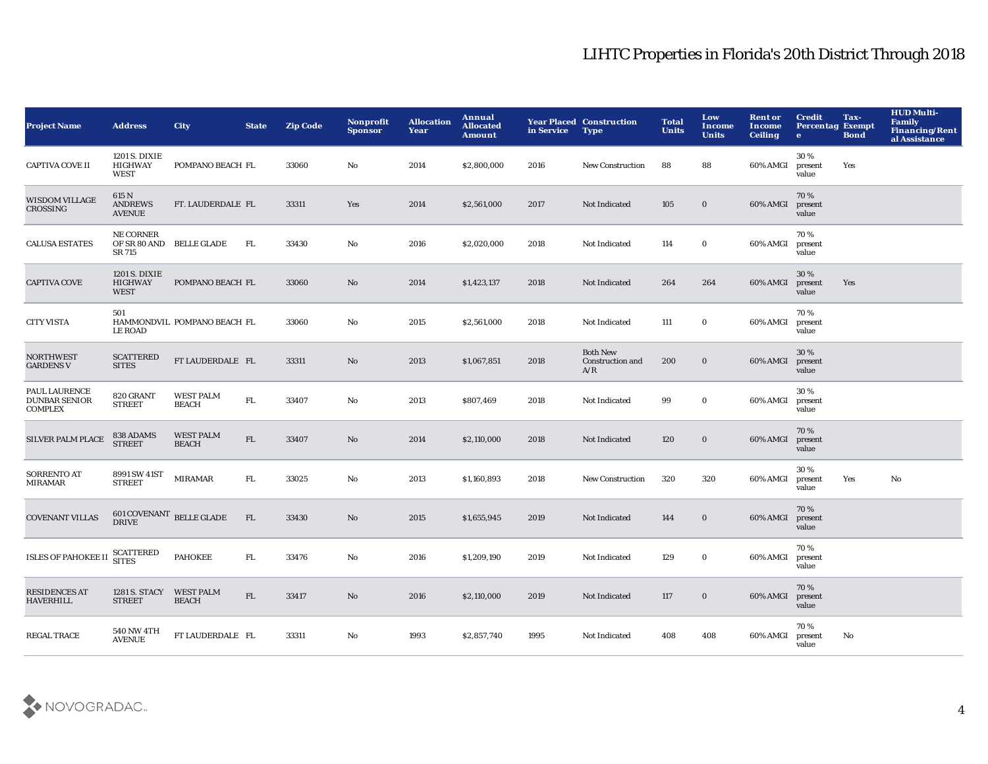| <b>Project Name</b>                                     | <b>Address</b>                                  | <b>City</b>                      | <b>State</b> | <b>Zip Code</b> | Nonprofit<br><b>Sponsor</b> | <b>Allocation</b><br>Year | Annual<br><b>Allocated</b><br><b>Amount</b> | in Service | <b>Year Placed Construction</b><br><b>Type</b> | <b>Total</b><br><b>Units</b> | Low<br><b>Income</b><br><b>Units</b> | <b>Rent or</b><br>Income<br><b>Ceiling</b> | <b>Credit</b><br><b>Percentag Exempt</b><br>$\bullet$ | Tax-<br><b>Bond</b> | <b>HUD Multi-</b><br><b>Family</b><br><b>Financing/Rent</b><br>al Assistance |
|---------------------------------------------------------|-------------------------------------------------|----------------------------------|--------------|-----------------|-----------------------------|---------------------------|---------------------------------------------|------------|------------------------------------------------|------------------------------|--------------------------------------|--------------------------------------------|-------------------------------------------------------|---------------------|------------------------------------------------------------------------------|
| <b>CAPTIVA COVE II</b>                                  | 1201 S. DIXIE<br><b>HIGHWAY</b><br><b>WEST</b>  | POMPANO BEACH FL                 |              | 33060           | No                          | 2014                      | \$2,800,000                                 | 2016       | <b>New Construction</b>                        | 88                           | 88                                   | 60% AMGI                                   | 30%<br>present<br>value                               | Yes                 |                                                                              |
| <b>WISDOM VILLAGE</b><br>CROSSING                       | 615 N<br><b>ANDREWS</b><br><b>AVENUE</b>        | FT. LAUDERDALE FL                |              | 33311           | Yes                         | 2014                      | \$2,561,000                                 | 2017       | Not Indicated                                  | 105                          | $\mathbf 0$                          | 60% AMGI                                   | 70%<br>present<br>value                               |                     |                                                                              |
| <b>CALUSA ESTATES</b>                                   | <b>NE CORNER</b><br>SR 715                      | OF SR 80 AND BELLE GLADE         | FL.          | 33430           | $\rm No$                    | 2016                      | \$2,020,000                                 | 2018       | Not Indicated                                  | 114                          | $\mathbf 0$                          | 60% AMGI                                   | 70%<br>present<br>value                               |                     |                                                                              |
| <b>CAPTIVA COVE</b>                                     | 1201 S. DIXIE<br><b>HIGHWAY</b><br><b>WEST</b>  | POMPANO BEACH FL                 |              | 33060           | $\mathbf{N}\mathbf{o}$      | 2014                      | \$1,423,137                                 | 2018       | Not Indicated                                  | 264                          | 264                                  | 60% AMGI                                   | 30 %<br>present<br>value                              | Yes                 |                                                                              |
| <b>CITY VISTA</b>                                       | 501<br><b>LE ROAD</b>                           | HAMMONDVIL POMPANO BEACH FL      |              | 33060           | $\mathbf{No}$               | 2015                      | \$2,561,000                                 | 2018       | Not Indicated                                  | 111                          | $\mathbf 0$                          | 60% AMGI                                   | 70%<br>present<br>value                               |                     |                                                                              |
| <b>NORTHWEST</b><br><b>GARDENS V</b>                    | <b>SCATTERED</b><br><b>SITES</b>                | FT LAUDERDALE FL                 |              | 33311           | No                          | 2013                      | \$1,067,851                                 | 2018       | <b>Both New</b><br>Construction and<br>A/R     | 200                          | $\bf{0}$                             | 60% AMGI                                   | 30%<br>present<br>value                               |                     |                                                                              |
| PAUL LAURENCE<br><b>DUNBAR SENIOR</b><br><b>COMPLEX</b> | 820 GRANT<br><b>STREET</b>                      | <b>WEST PALM</b><br><b>BEACH</b> | ${\rm FL}$   | 33407           | $\mathbf {No}$              | 2013                      | \$807,469                                   | 2018       | Not Indicated                                  | 99                           | $\mathbf 0$                          | 60% AMGI                                   | 30%<br>present<br>value                               |                     |                                                                              |
| <b>SILVER PALM PLACE</b>                                | 838 ADAMS<br><b>STREET</b>                      | <b>WEST PALM</b><br><b>BEACH</b> | ${\rm FL}$   | 33407           | No                          | 2014                      | \$2,110,000                                 | 2018       | Not Indicated                                  | 120                          | $\mathbf 0$                          | 60% AMGI                                   | 70%<br>present<br>value                               |                     |                                                                              |
| SORRENTO AT<br><b>MIRAMAR</b>                           | 8991 SW 41ST<br><b>STREET</b>                   | MIRAMAR                          | FL.          | 33025           | No                          | 2013                      | \$1,160,893                                 | 2018       | <b>New Construction</b>                        | 320                          | 320                                  | 60% AMGI                                   | 30%<br>present<br>value                               | Yes                 | No                                                                           |
| <b>COVENANT VILLAS</b>                                  | $601$ COVENANT $\,$ BELLE GLADE<br><b>DRIVE</b> |                                  | ${\rm FL}$   | 33430           | $\rm No$                    | 2015                      | \$1,655,945                                 | 2019       | Not Indicated                                  | 144                          | $\mathbf 0$                          | 60% AMGI                                   | 70%<br>present<br>value                               |                     |                                                                              |
| ISLES OF PAHOKEE II                                     | SCATTERED<br>SITES                              | <b>PAHOKEE</b>                   | FL.          | 33476           | No                          | 2016                      | \$1,209,190                                 | 2019       | Not Indicated                                  | 129                          | $\bf{0}$                             | 60% AMGI                                   | 70%<br>present<br>value                               |                     |                                                                              |
| <b>RESIDENCES AT</b><br><b>HAVERHILL</b>                | 1281 S. STACY<br><b>STREET</b>                  | <b>WEST PALM</b><br><b>BEACH</b> | ${\rm FL}$   | 33417           | No                          | 2016                      | \$2,110,000                                 | 2019       | Not Indicated                                  | 117                          | $\bf{0}$                             | 60% AMGI                                   | 70%<br>present<br>value                               |                     |                                                                              |
| <b>REGAL TRACE</b>                                      | <b>540 NW 4TH</b><br><b>AVENUE</b>              | FT LAUDERDALE FL                 |              | 33311           | No                          | 1993                      | \$2,857,740                                 | 1995       | Not Indicated                                  | 408                          | 408                                  | 60% AMGI                                   | 70%<br>present<br>value                               | No                  |                                                                              |

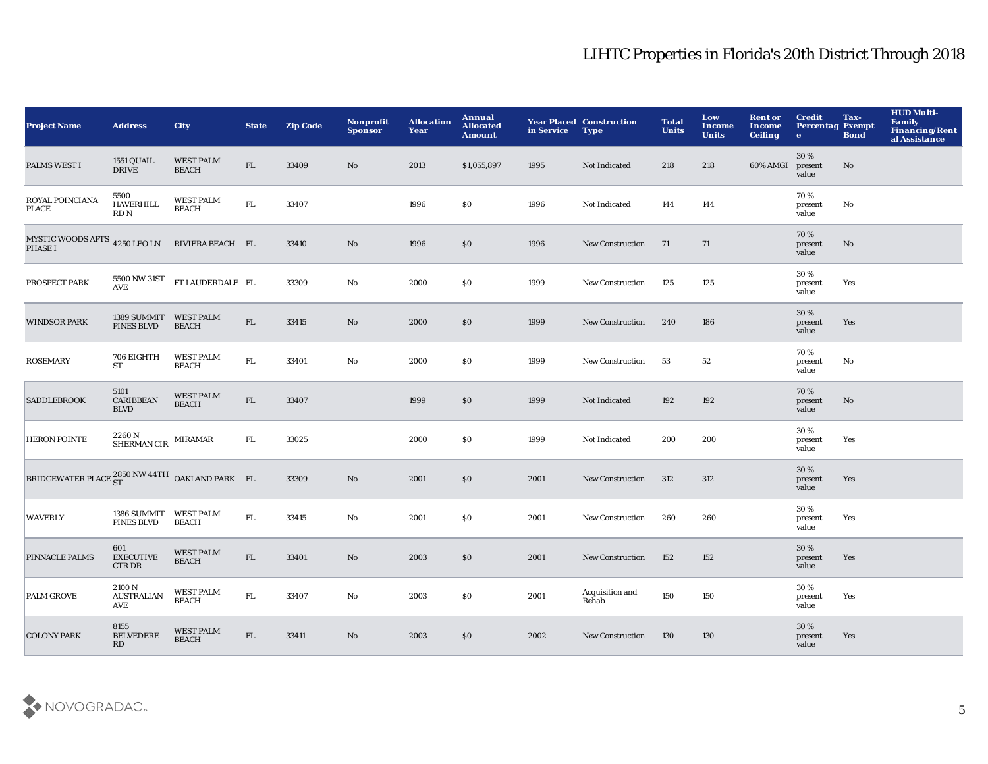| <b>Project Name</b>                                                                      | <b>Address</b>                              | <b>City</b>                      | <b>State</b> | <b>Zip Code</b> | Nonprofit<br><b>Sponsor</b> | <b>Allocation</b><br>Year | Annual<br><b>Allocated</b><br><b>Amount</b> | in Service | <b>Year Placed Construction</b><br><b>Type</b> | <b>Total</b><br><b>Units</b> | Low<br><b>Income</b><br><b>Units</b> | <b>Rent or</b><br><b>Income</b><br><b>Ceiling</b> | <b>Credit</b><br><b>Percentag Exempt</b><br>$\bullet$ | Tax-<br><b>Bond</b> | <b>HUD Multi-</b><br><b>Family</b><br><b>Financing/Rent</b><br>al Assistance |
|------------------------------------------------------------------------------------------|---------------------------------------------|----------------------------------|--------------|-----------------|-----------------------------|---------------------------|---------------------------------------------|------------|------------------------------------------------|------------------------------|--------------------------------------|---------------------------------------------------|-------------------------------------------------------|---------------------|------------------------------------------------------------------------------|
| <b>PALMS WEST I</b>                                                                      | <b>1551 QUAIL</b><br><b>DRIVE</b>           | <b>WEST PALM</b><br><b>BEACH</b> | ${\rm FL}$   | 33409           | No                          | 2013                      | \$1,055,897                                 | 1995       | Not Indicated                                  | 218                          | 218                                  | 60% AMGI                                          | 30 %<br>present<br>value                              | No                  |                                                                              |
| ROYAL POINCIANA<br><b>PLACE</b>                                                          | 5500<br>HAVERHILL<br>RDN                    | <b>WEST PALM</b><br><b>BEACH</b> | ${\rm FL}$   | 33407           |                             | 1996                      | \$0                                         | 1996       | Not Indicated                                  | 144                          | 144                                  |                                                   | 70%<br>present<br>value                               | No                  |                                                                              |
| MYSTIC WOODS APTS $\,$ 4250 LEO LN PHASE I                                               |                                             | RIVIERA BEACH FL                 |              | 33410           | $\rm No$                    | 1996                      | \$0                                         | 1996       | <b>New Construction</b>                        | 71                           | 71                                   |                                                   | 70%<br>present<br>value                               | $\mathbf{No}$       |                                                                              |
| PROSPECT PARK                                                                            | 5500 NW 31ST<br><b>AVE</b>                  | FT LAUDERDALE FL                 |              | 33309           | No                          | 2000                      | \$0                                         | 1999       | <b>New Construction</b>                        | 125                          | 125                                  |                                                   | 30%<br>present<br>value                               | Yes                 |                                                                              |
| <b>WINDSOR PARK</b>                                                                      | 1389 SUMMIT<br>PINES BLVD                   | <b>WEST PALM</b><br><b>BEACH</b> | ${\rm FL}$   | 33415           | $\mathbf{N}\mathbf{o}$      | 2000                      | \$0                                         | 1999       | <b>New Construction</b>                        | 240                          | 186                                  |                                                   | 30 %<br>present<br>value                              | Yes                 |                                                                              |
| <b>ROSEMARY</b>                                                                          | 706 EIGHTH<br>ST                            | <b>WEST PALM</b><br><b>BEACH</b> | ${\rm FL}$   | 33401           | $\mathbf{No}$               | 2000                      | \$0                                         | 1999       | <b>New Construction</b>                        | 53                           | 52                                   |                                                   | 70%<br>present<br>value                               | No                  |                                                                              |
| <b>SADDLEBROOK</b>                                                                       | 5101<br><b>CARIBBEAN</b><br><b>BLVD</b>     | <b>WEST PALM</b><br><b>BEACH</b> | ${\rm FL}$   | 33407           |                             | 1999                      | \$0                                         | 1999       | Not Indicated                                  | 192                          | 192                                  |                                                   | 70%<br>present<br>value                               | $\mathbf{No}$       |                                                                              |
| <b>HERON POINTE</b>                                                                      | $2260\,\mathrm{N}$ SHERMAN CIR $\,$ MIRAMAR |                                  | ${\rm FL}$   | 33025           |                             | 2000                      | \$0                                         | 1999       | Not Indicated                                  | 200                          | 200                                  |                                                   | 30%<br>present<br>value                               | Yes                 |                                                                              |
| BRIDGEWATER PLACE $^{2850 \text{ NW } 44 \text{TH}}_{\text{S} \text{T}}$ OAKLAND PARK FL |                                             |                                  |              | 33309           | $\rm No$                    | 2001                      | \$0                                         | 2001       | New Construction                               | 312                          | 312                                  |                                                   | 30%<br>present<br>value                               | Yes                 |                                                                              |
| <b>WAVERLY</b>                                                                           | 1386 SUMMIT WEST PALM<br><b>PINES BLVD</b>  | <b>BEACH</b>                     | ${\rm FL}$   | 33415           | $\mathbf {No}$              | 2001                      | $\$0$                                       | 2001       | <b>New Construction</b>                        | 260                          | 260                                  |                                                   | 30%<br>present<br>value                               | Yes                 |                                                                              |
| PINNACLE PALMS                                                                           | 601<br><b>EXECUTIVE</b><br><b>CTRDR</b>     | <b>WEST PALM</b><br><b>BEACH</b> | ${\rm FL}$   | 33401           | $\mathbf{N}\mathbf{o}$      | 2003                      | \$0                                         | 2001       | <b>New Construction</b>                        | 152                          | 152                                  |                                                   | 30 %<br>present<br>value                              | Yes                 |                                                                              |
| <b>PALM GROVE</b>                                                                        | 2100 N<br><b>AUSTRALIAN</b><br>AVE          | <b>WEST PALM</b><br><b>BEACH</b> | FL.          | 33407           | No                          | 2003                      | <b>SO</b>                                   | 2001       | Acquisition and<br>Rehab                       | 150                          | 150                                  |                                                   | 30%<br>present<br>value                               | Yes                 |                                                                              |
| <b>COLONY PARK</b>                                                                       | 8155<br><b>BELVEDERE</b><br>RD              | <b>WEST PALM</b><br><b>BEACH</b> | ${\rm FL}$   | 33411           | No                          | 2003                      | \$0                                         | 2002       | <b>New Construction</b>                        | 130                          | 130                                  |                                                   | 30 %<br>present<br>value                              | Yes                 |                                                                              |

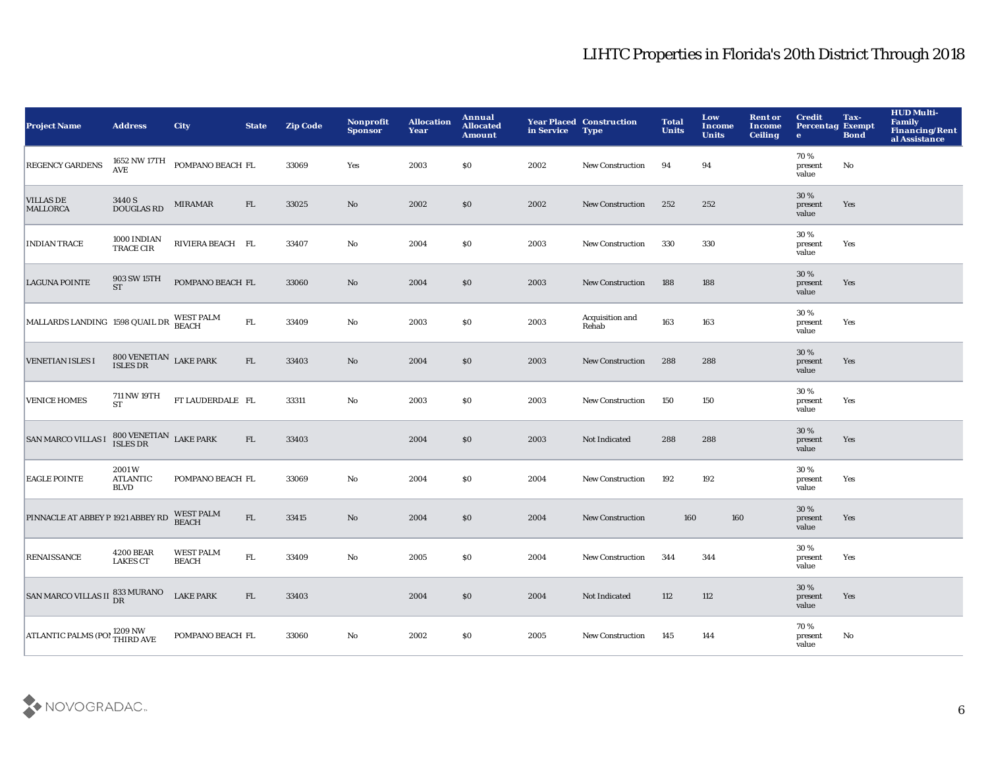| <b>Project Name</b>                      | <b>Address</b>                          | <b>City</b>                                              | <b>State</b> | <b>Zip Code</b> | <b>Nonprofit</b><br><b>Sponsor</b> | <b>Allocation</b><br>Year | Annual<br><b>Allocated</b><br><b>Amount</b> | in Service | <b>Year Placed Construction</b><br><b>Type</b> | <b>Total</b><br><b>Units</b> | Low<br><b>Income</b><br><b>Units</b> | <b>Rent or</b><br><b>Income</b><br><b>Ceiling</b> | <b>Credit</b><br><b>Percentag Exempt</b><br>$\mathbf{e}$ | Tax-<br><b>Bond</b> | <b>HUD Multi-</b><br>Family<br><b>Financing/Rent</b><br>al Assistance |
|------------------------------------------|-----------------------------------------|----------------------------------------------------------|--------------|-----------------|------------------------------------|---------------------------|---------------------------------------------|------------|------------------------------------------------|------------------------------|--------------------------------------|---------------------------------------------------|----------------------------------------------------------|---------------------|-----------------------------------------------------------------------|
| <b>REGENCY GARDENS</b>                   |                                         | $1652$ NW $17\mathrm{TH}$ $\;$ POMPANO BEACH FL $\;$ AVE |              | 33069           | Yes                                | 2003                      | \$0                                         | 2002       | <b>New Construction</b>                        | 94                           | 94                                   |                                                   | 70%<br>present<br>value                                  | No                  |                                                                       |
| <b>VILLAS DE</b><br><b>MALLORCA</b>      | 3440 S<br><b>DOUGLAS RD</b>             | <b>MIRAMAR</b>                                           | ${\rm FL}$   | 33025           | $\mathbf {No}$                     | 2002                      | $\$0$                                       | 2002       | <b>New Construction</b>                        | 252                          | 252                                  |                                                   | 30 %<br>present<br>value                                 | Yes                 |                                                                       |
| <b>INDIAN TRACE</b>                      | 1000 INDIAN<br>TRACE CIR                | RIVIERA BEACH FL                                         |              | 33407           | $\mathbf{No}$                      | 2004                      | \$0                                         | 2003       | New Construction                               | 330                          | 330                                  |                                                   | 30%<br>present<br>value                                  | Yes                 |                                                                       |
| <b>LAGUNA POINTE</b>                     | 903 SW 15TH<br><b>ST</b>                | POMPANO BEACH FL                                         |              | 33060           | No                                 | 2004                      | \$0                                         | 2003       | <b>New Construction</b>                        | 188                          | 188                                  |                                                   | 30 %<br>present<br>value                                 | Yes                 |                                                                       |
| MALLARDS LANDING 1598 QUAIL DR WEST PALM |                                         |                                                          | FL           | 33409           | $\mathbf{No}$                      | 2003                      | \$0                                         | 2003       | Acquisition and<br>Rehab                       | 163                          | 163                                  |                                                   | 30%<br>present<br>value                                  | Yes                 |                                                                       |
| <b>VENETIAN ISLES I</b>                  | $800$ VENETIAN $\:$ LAKE PARK ISLES DR  |                                                          | FL           | 33403           | No                                 | 2004                      | \$0                                         | 2003       | <b>New Construction</b>                        | 288                          | 288                                  |                                                   | 30%<br>present<br>value                                  | Yes                 |                                                                       |
| <b>VENICE HOMES</b>                      | 711 NW 19TH<br><b>ST</b>                | FT LAUDERDALE FL                                         |              | 33311           | No                                 | 2003                      | \$0                                         | 2003       | <b>New Construction</b>                        | 150                          | 150                                  |                                                   | 30%<br>present<br>value                                  | Yes                 |                                                                       |
| <b>SAN MARCO VILLAS I</b>                | 800 VENETIAN LAKE PARK ISLES DR         |                                                          | FL           | 33403           |                                    | 2004                      | $\$0$                                       | 2003       | Not Indicated                                  | 288                          | 288                                  |                                                   | 30%<br>present<br>value                                  | Yes                 |                                                                       |
| <b>EAGLE POINTE</b>                      | 2001W<br><b>ATLANTIC</b><br><b>BLVD</b> | POMPANO BEACH FL                                         |              | 33069           | $\mathbf {No}$                     | 2004                      | \$0                                         | 2004       | <b>New Construction</b>                        | 192                          | 192                                  |                                                   | 30%<br>present<br>value                                  | Yes                 |                                                                       |
| PINNACLE AT ABBEY P 1921 ABBEY RD        |                                         | <b>WEST PALM</b><br><b>BEACH</b>                         | ${\rm FL}$   | 33415           | No                                 | 2004                      | $\$0$                                       | 2004       | New Construction                               | 160                          | 160                                  |                                                   | 30%<br>present<br>value                                  | Yes                 |                                                                       |
| <b>RENAISSANCE</b>                       | <b>4200 BEAR</b><br><b>LAKES CT</b>     | <b>WEST PALM</b><br><b>BEACH</b>                         | ${\rm FL}$   | 33409           | $\mathbf{No}$                      | 2005                      | \$0                                         | 2004       | <b>New Construction</b>                        | 344                          | 344                                  |                                                   | 30%<br>present<br>value                                  | Yes                 |                                                                       |
| SAN MARCO VILLAS II B33 MURANO           |                                         | <b>LAKE PARK</b>                                         | FL           | 33403           |                                    | 2004                      | \$0                                         | 2004       | Not Indicated                                  | 112                          | 112                                  |                                                   | 30%<br>present<br>value                                  | Yes                 |                                                                       |
| ATLANTIC PALMS (POM 1209 NW              |                                         | POMPANO BEACH FL                                         |              | 33060           | No                                 | 2002                      | <b>SO</b>                                   | 2005       | <b>New Construction</b>                        | 145                          | 144                                  |                                                   | 70%<br>present<br>value                                  | No                  |                                                                       |